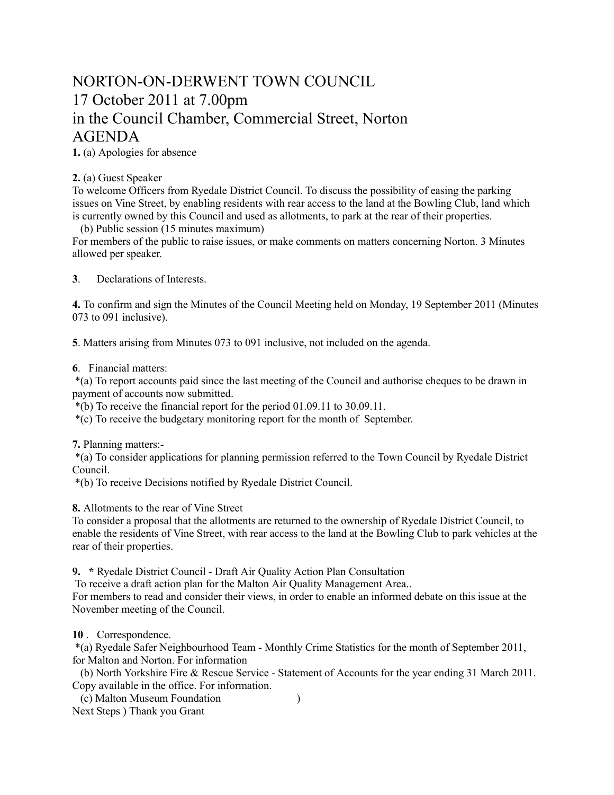## NORTON-ON-DERWENT TOWN COUNCIL 17 October 2011 at 7.00pm in the Council Chamber, Commercial Street, Norton AGENDA

**1.** (a) Apologies for absence

## **2.** (a) Guest Speaker

To welcome Officers from Ryedale District Council. To discuss the possibility of easing the parking issues on Vine Street, by enabling residents with rear access to the land at the Bowling Club, land which is currently owned by this Council and used as allotments, to park at the rear of their properties.

(b) Public session (15 minutes maximum)

For members of the public to raise issues, or make comments on matters concerning Norton. 3 Minutes allowed per speaker.

**3**. Declarations of Interests.

**4.** To confirm and sign the Minutes of the Council Meeting held on Monday, 19 September 2011 (Minutes 073 to 091 inclusive).

**5**. Matters arising from Minutes 073 to 091 inclusive, not included on the agenda.

**6**. Financial matters:

 \*(a) To report accounts paid since the last meeting of the Council and authorise cheques to be drawn in payment of accounts now submitted.

\*(b) To receive the financial report for the period 01.09.11 to 30.09.11.

\*(c) To receive the budgetary monitoring report for the month of September.

**7.** Planning matters:-

 \*(a) To consider applications for planning permission referred to the Town Council by Ryedale District Council.

\*(b) To receive Decisions notified by Ryedale District Council.

**8.** Allotments to the rear of Vine Street

To consider a proposal that the allotments are returned to the ownership of Ryedale District Council, to enable the residents of Vine Street, with rear access to the land at the Bowling Club to park vehicles at the rear of their properties.

**9. \*** Ryedale District Council - Draft Air Quality Action Plan Consultation

To receive a draft action plan for the Malton Air Quality Management Area..

For members to read and consider their views, in order to enable an informed debate on this issue at the November meeting of the Council.

**10** . Correspondence.

 \*(a) Ryedale Safer Neighbourhood Team - Monthly Crime Statistics for the month of September 2011, for Malton and Norton. For information

 (b) North Yorkshire Fire & Rescue Service - Statement of Accounts for the year ending 31 March 2011. Copy available in the office. For information.

 (c) Malton Museum Foundation ) Next Steps ) Thank you Grant